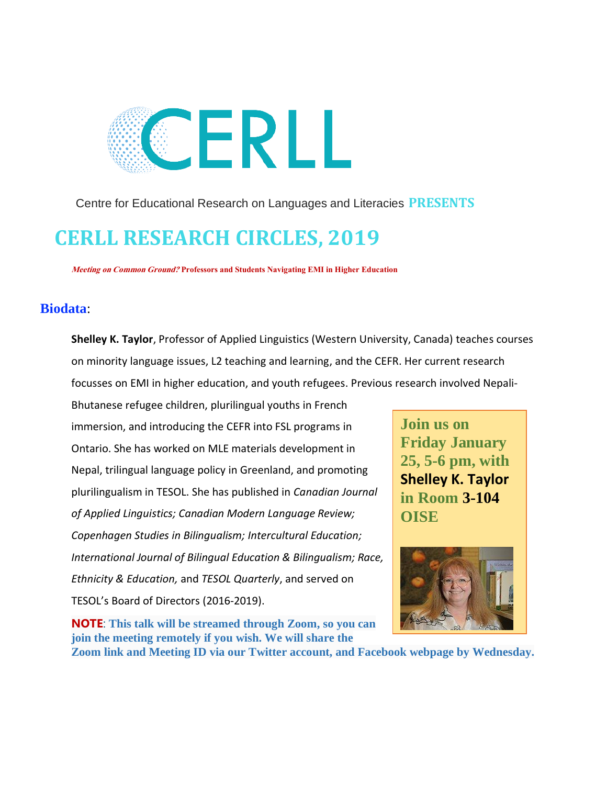

Centre for Educational Research on Languages and Literacies **PRESENTS** 

## **CERLL RESEARCH CIRCLES, 2019**

**Meeting on Common Ground? Professors and Students Navigating EMI in Higher Education**

### **Biodata**:

**Shelley K. Taylor**, Professor of Applied Linguistics (Western University, Canada) teaches courses on minority language issues, L2 teaching and learning, and the CEFR. Her current research focusses on EMI in higher education, and youth refugees. Previous research involved Nepali-

Bhutanese refugee children, plurilingual youths in French immersion, and introducing the CEFR into FSL programs in Ontario. She has worked on MLE materials development in Nepal, trilingual language policy in Greenland, and promoting plurilingualism in TESOL. She has published in *Canadian Journal of Applied Linguistics; Canadian Modern Language Review; Copenhagen Studies in Bilingualism; Intercultural Education; International Journal of Bilingual Education & Bilingualism; Race, Ethnicity & Education,* and *TESOL Quarterly*, and served on TESOL's Board of Directors (2016-2019).

**NOTE**: **This talk will be streamed through Zoom, so you can join the meeting remotely if you wish. We will share the** 

**Join us on Friday January 25, 5-6 pm, with Shelley K. Taylor in Room 3-104 OISE**



**Zoom link and Meeting ID via our Twitter account, and Facebook webpage by Wednesday.**